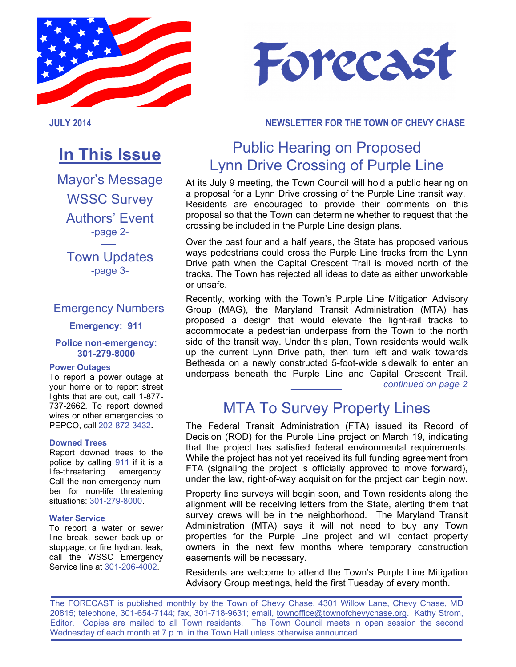



## **JULY 2014 NEWSLETTER FOR THE TOWN OF CHEVY CHASE**

# **In This Issue**

Mayor's Message WSSC Survey Authors' Event -page 2- Town Updates

-page 3-

## Emergency Numbers

### **Emergency: 911**

#### **Police non-emergency: 301-279-8000**

#### **Power Outages**

To report a power outage at your home or to report street lights that are out, call 1-877- 737-2662. To report downed wires or other emergencies to PEPCO, call 202-872-3432**.**

#### **Downed Trees**

Report downed trees to the police by calling 911 if it is a life-threatening emergency. Call the non-emergency number for non-life threatening situations: 301-279-8000.

#### **Water Service**

To report a water or sewer line break, sewer back-up or stoppage, or fire hydrant leak, call the WSSC Emergency Service line at 301-206-4002.

# Public Hearing on Proposed Lynn Drive Crossing of Purple Line

At its July 9 meeting, the Town Council will hold a public hearing on a proposal for a Lynn Drive crossing of the Purple Line transit way. Residents are encouraged to provide their comments on this proposal so that the Town can determine whether to request that the crossing be included in the Purple Line design plans.

Over the past four and a half years, the State has proposed various ways pedestrians could cross the Purple Line tracks from the Lynn Drive path when the Capital Crescent Trail is moved north of the tracks. The Town has rejected all ideas to date as either unworkable or unsafe.

Recently, working with the Town's Purple Line Mitigation Advisory Group (MAG), the Maryland Transit Administration (MTA) has proposed a design that would elevate the light-rail tracks to accommodate a pedestrian underpass from the Town to the north side of the transit way. Under this plan, Town residents would walk up the current Lynn Drive path, then turn left and walk towards Bethesda on a newly constructed 5-foot-wide sidewalk to enter an underpass beneath the Purple Line and Capital Crescent Trail.

*continued on page 2* 

## MTA To Survey Property Lines

The Federal Transit Administration (FTA) issued its Record of Decision (ROD) for the Purple Line project on March 19, indicating that the project has satisfied federal environmental requirements. While the project has not yet received its full funding agreement from FTA (signaling the project is officially approved to move forward), under the law, right-of-way acquisition for the project can begin now.

Property line surveys will begin soon, and Town residents along the alignment will be receiving letters from the State, alerting them that survey crews will be in the neighborhood. The Maryland Transit Administration (MTA) says it will not need to buy any Town properties for the Purple Line project and will contact property owners in the next few months where temporary construction easements will be necessary.

Residents are welcome to attend the Town's Purple Line Mitigation Advisory Group meetings, held the first Tuesday of every month.

The FORECAST is published monthly by the Town of Chevy Chase, 4301 Willow Lane, Chevy Chase, MD 20815; telephone, 301-654-7144; fax, 301-718-9631; email, townoffice@townofchevychase.org. Kathy Strom, Editor. Copies are mailed to all Town residents. The Town Council meets in open session the second Wednesday of each month at 7 p.m. in the Town Hall unless otherwise announced.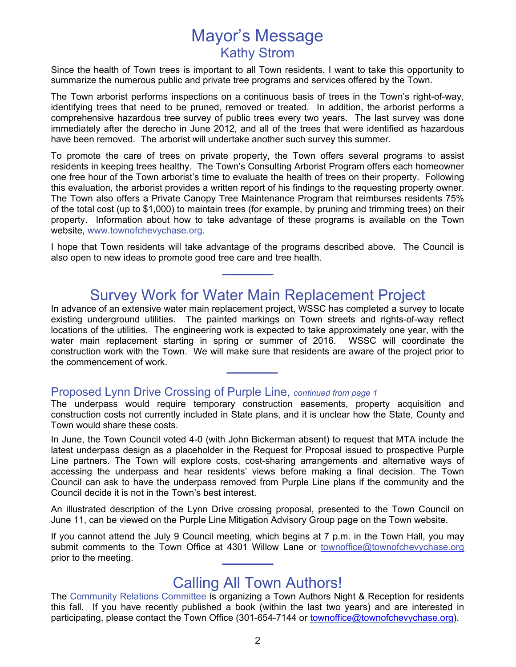## Mayor's Message Kathy Strom

Since the health of Town trees is important to all Town residents, I want to take this opportunity to summarize the numerous public and private tree programs and services offered by the Town.

The Town arborist performs inspections on a continuous basis of trees in the Town's right-of-way, identifying trees that need to be pruned, removed or treated. In addition, the arborist performs a comprehensive hazardous tree survey of public trees every two years. The last survey was done immediately after the derecho in June 2012, and all of the trees that were identified as hazardous have been removed. The arborist will undertake another such survey this summer.

To promote the care of trees on private property, the Town offers several programs to assist residents in keeping trees healthy. The Town's Consulting Arborist Program offers each homeowner one free hour of the Town arborist's time to evaluate the health of trees on their property. Following this evaluation, the arborist provides a written report of his findings to the requesting property owner. The Town also offers a Private Canopy Tree Maintenance Program that reimburses residents 75% of the total cost (up to \$1,000) to maintain trees (for example, by pruning and trimming trees) on their property. Information about how to take advantage of these programs is available on the Town website, www.townofchevychase.org.

I hope that Town residents will take advantage of the programs described above. The Council is also open to new ideas to promote good tree care and tree health.

## Survey Work for Water Main Replacement Project

In advance of an extensive water main replacement project, WSSC has completed a survey to locate existing underground utilities. The painted markings on Town streets and rights-of-way reflect locations of the utilities. The engineering work is expected to take approximately one year, with the water main replacement starting in spring or summer of 2016. WSSC will coordinate the construction work with the Town. We will make sure that residents are aware of the project prior to the commencement of work.

### Proposed Lynn Drive Crossing of Purple Line, *continued from page 1*

The underpass would require temporary construction easements, property acquisition and construction costs not currently included in State plans, and it is unclear how the State, County and Town would share these costs.

In June, the Town Council voted 4-0 (with John Bickerman absent) to request that MTA include the latest underpass design as a placeholder in the Request for Proposal issued to prospective Purple Line partners. The Town will explore costs, cost-sharing arrangements and alternative ways of accessing the underpass and hear residents' views before making a final decision. The Town Council can ask to have the underpass removed from Purple Line plans if the community and the Council decide it is not in the Town's best interest.

An illustrated description of the Lynn Drive crossing proposal, presented to the Town Council on June 11, can be viewed on the Purple Line Mitigation Advisory Group page on the Town website.

If you cannot attend the July 9 Council meeting, which begins at 7 p.m. in the Town Hall, you may submit comments to the Town Office at 4301 Willow Lane or townoffice@townofchevychase.org prior to the meeting.

## Calling All Town Authors!

The Community Relations Committee is organizing a Town Authors Night & Reception for residents this fall. If you have recently published a book (within the last two years) and are interested in participating, please contact the Town Office (301-654-7144 or townoffice@townofchevychase.org).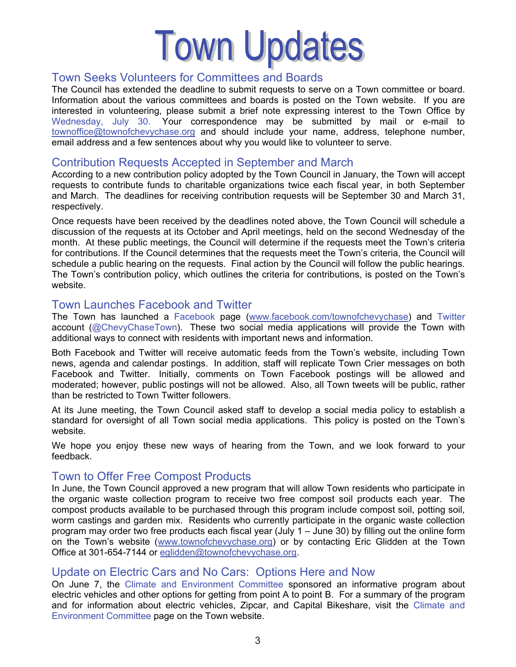# **Town Updates**

## Town Seeks Volunteers for Committees and Boards

The Council has extended the deadline to submit requests to serve on a Town committee or board. Information about the various committees and boards is posted on the Town website. If you are interested in volunteering, please submit a brief note expressing interest to the Town Office by Wednesday, July 30. Your correspondence may be submitted by mail or e-mail to townoffice@townofchevychase.org and should include your name, address, telephone number, email address and a few sentences about why you would like to volunteer to serve.

## Contribution Requests Accepted in September and March

According to a new contribution policy adopted by the Town Council in January, the Town will accept requests to contribute funds to charitable organizations twice each fiscal year, in both September and March. The deadlines for receiving contribution requests will be September 30 and March 31, respectively.

Once requests have been received by the deadlines noted above, the Town Council will schedule a discussion of the requests at its October and April meetings, held on the second Wednesday of the month. At these public meetings, the Council will determine if the requests meet the Town's criteria for contributions. If the Council determines that the requests meet the Town's criteria, the Council will schedule a public hearing on the requests. Final action by the Council will follow the public hearings. The Town's contribution policy, which outlines the criteria for contributions, is posted on the Town's website.

## Town Launches Facebook and Twitter

The Town has launched a Facebook page (www.facebook.com/townofchevychase) and Twitter account (@ChevyChaseTown). These two social media applications will provide the Town with additional ways to connect with residents with important news and information.

Both Facebook and Twitter will receive automatic feeds from the Town's website, including Town news, agenda and calendar postings. In addition, staff will replicate Town Crier messages on both Facebook and Twitter. Initially, comments on Town Facebook postings will be allowed and moderated; however, public postings will not be allowed. Also, all Town tweets will be public, rather than be restricted to Town Twitter followers.

At its June meeting, the Town Council asked staff to develop a social media policy to establish a standard for oversight of all Town social media applications. This policy is posted on the Town's website.

We hope you enjoy these new ways of hearing from the Town, and we look forward to your feedback.

## Town to Offer Free Compost Products

In June, the Town Council approved a new program that will allow Town residents who participate in the organic waste collection program to receive two free compost soil products each year. The compost products available to be purchased through this program include compost soil, potting soil, worm castings and garden mix. Residents who currently participate in the organic waste collection program may order two free products each fiscal year (July 1 – June 30) by filling out the online form on the Town's website (www.townofchevychase.org) or by contacting Eric Glidden at the Town Office at 301-654-7144 or eglidden@townofchevychase.org.

## Update on Electric Cars and No Cars: Options Here and Now

On June 7, the Climate and Environment Committee sponsored an informative program about electric vehicles and other options for getting from point A to point B. For a summary of the program and for information about electric vehicles, Zipcar, and Capital Bikeshare, visit the Climate and Environment Committee page on the Town website.